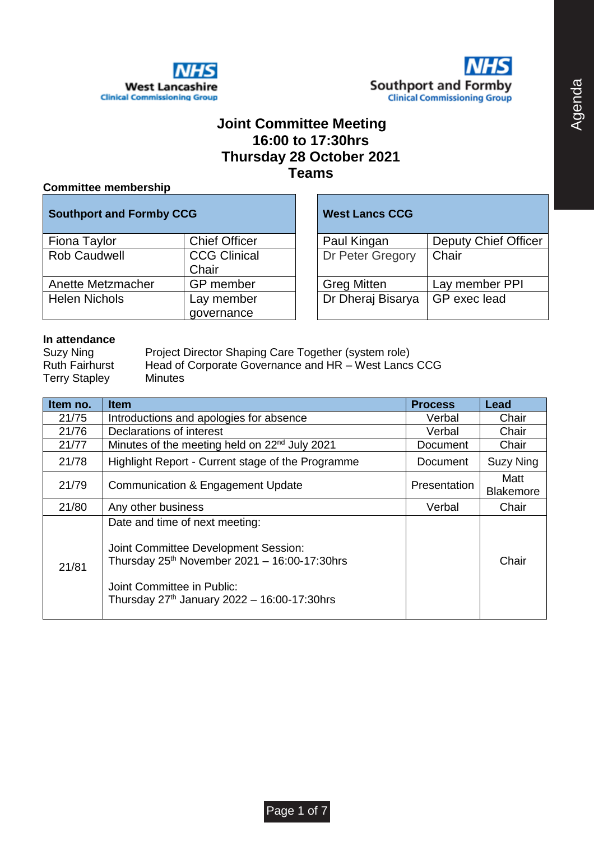



## **Joint Committee Meeting 16:00 to 17:30hrs Thursday 28 October 2021 Teams**

### **Committee membership**

| <b>Southport and Formby CCG</b> |                              | <b>West Lancs CCG</b> |                             |
|---------------------------------|------------------------------|-----------------------|-----------------------------|
| Fiona Taylor                    | <b>Chief Officer</b>         | Paul Kingan           | <b>Deputy Chief Officer</b> |
| <b>Rob Caudwell</b>             | <b>CCG Clinical</b><br>Chair | Dr Peter Gregory      | Chair                       |
| Anette Metzmacher               | GP member                    | <b>Greg Mitten</b>    | Lay member PPI              |
| <b>Helen Nichols</b>            | Lay member<br>governance     | Dr Dheraj Bisarya     | GP exec lead                |

## **West Lancs CCG**

| Paul Kingan        | Deputy Chief Officer |
|--------------------|----------------------|
| Dr Peter Gregory   | Chair                |
| <b>Greg Mitten</b> | Lay member PPI       |
| Dr Dheraj Bisarya  | GP exec lead         |

#### **In attendance**

Suzy Ning Project Director Shaping Care Together (system role) Ruth Fairhurst Head of Corporate Governance and HR – West Lancs CCG Terry Stapley Minutes

| Item no. | <b>Item</b>                                                                                                                                                                                                          | <b>Process</b>      | Lead                     |
|----------|----------------------------------------------------------------------------------------------------------------------------------------------------------------------------------------------------------------------|---------------------|--------------------------|
| 21/75    | Introductions and apologies for absence                                                                                                                                                                              | Verbal              | Chair                    |
| 21/76    | Declarations of interest                                                                                                                                                                                             | Verbal              | Chair                    |
| 21/77    | Minutes of the meeting held on 22 <sup>nd</sup> July 2021                                                                                                                                                            | <b>Document</b>     | Chair                    |
| 21/78    | Highlight Report - Current stage of the Programme                                                                                                                                                                    | Document            | Suzy Ning                |
| 21/79    | Communication & Engagement Update                                                                                                                                                                                    | <b>Presentation</b> | Matt<br><b>Blakemore</b> |
| 21/80    | Any other business                                                                                                                                                                                                   | Verbal              | Chair                    |
| 21/81    | Date and time of next meeting:<br>Joint Committee Development Session:<br>Thursday 25 <sup>th</sup> November 2021 - 16:00-17:30hrs<br>Joint Committee in Public:<br>Thursday $27^{th}$ January 2022 - 16:00-17:30hrs |                     | Chair                    |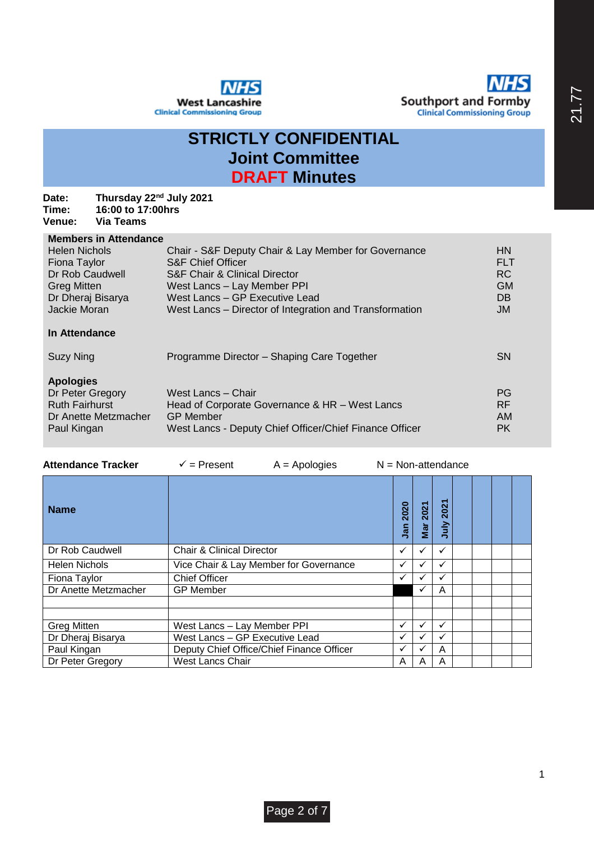

## **STRICTLY CONFIDENTIAL Joint Committee DRAFT Minutes**

#### **Date: Thursday 22nd July 2021 Time: 16:00 to 17:00hrs Venue: Via Teams**

## **Members in Attendance**

| <b>Helen Nichols</b><br>Fiona Taylor<br>Dr Rob Caudwell<br><b>Greg Mitten</b><br>Dr Dheraj Bisarya<br>Jackie Moran | Chair - S&F Deputy Chair & Lay Member for Governance<br><b>S&amp;F Chief Officer</b><br><b>S&amp;F Chair &amp; Clinical Director</b><br>West Lancs - Lay Member PPI<br>West Lancs - GP Executive Lead<br>West Lancs – Director of Integration and Transformation | <b>HN</b><br><b>FLT</b><br><b>RC</b><br><b>GM</b><br>DB<br><b>JM</b> |
|--------------------------------------------------------------------------------------------------------------------|------------------------------------------------------------------------------------------------------------------------------------------------------------------------------------------------------------------------------------------------------------------|----------------------------------------------------------------------|
| In Attendance                                                                                                      |                                                                                                                                                                                                                                                                  |                                                                      |
| Suzy Ning                                                                                                          | Programme Director - Shaping Care Together                                                                                                                                                                                                                       | <b>SN</b>                                                            |
| <b>Apologies</b><br>Dr Peter Gregory                                                                               | West Lancs - Chair                                                                                                                                                                                                                                               | PG                                                                   |

| 1.89199100            |                                                         |           |
|-----------------------|---------------------------------------------------------|-----------|
| Dr Peter Gregory      | West Lancs - Chair                                      | <b>PG</b> |
| <b>Ruth Fairhurst</b> | Head of Corporate Governance & HR - West Lancs          | RF.       |
| Dr Anette Metzmacher  | <b>GP Member</b>                                        | AM        |
| Paul Kingan           | West Lancs - Deputy Chief Officer/Chief Finance Officer | <b>PK</b> |
|                       |                                                         |           |

| <b>Attendance Tracker</b> | $\checkmark$ = Present                    | $A = Apologies$ | $N = Non-attention$ |             |             |              |  |  |  |
|---------------------------|-------------------------------------------|-----------------|---------------------|-------------|-------------|--------------|--|--|--|
| <b>Name</b>               |                                           |                 |                     | 2020<br>Jan | 2021<br>Mar | 2021<br>July |  |  |  |
| Dr Rob Caudwell           | <b>Chair &amp; Clinical Director</b>      |                 |                     | ✓           | ✓           | ✓            |  |  |  |
| <b>Helen Nichols</b>      | Vice Chair & Lay Member for Governance    | ✓               | ✓                   | ✓           |             |              |  |  |  |
| Fiona Taylor              | <b>Chief Officer</b>                      |                 |                     |             | ✓           | ✓            |  |  |  |
| Dr Anette Metzmacher      | <b>GP Member</b>                          |                 |                     |             | ✓           | A            |  |  |  |
|                           |                                           |                 |                     |             |             |              |  |  |  |
| <b>Greg Mitten</b>        | West Lancs - Lay Member PPI               |                 |                     |             | ✓           | ✓            |  |  |  |
| Dr Dheraj Bisarya         | West Lancs - GP Executive Lead            |                 |                     |             |             |              |  |  |  |
| Paul Kingan               | Deputy Chief Office/Chief Finance Officer |                 |                     | ✓           |             | A            |  |  |  |
| Dr Peter Gregory          | West Lancs Chair                          |                 |                     |             | A           | A            |  |  |  |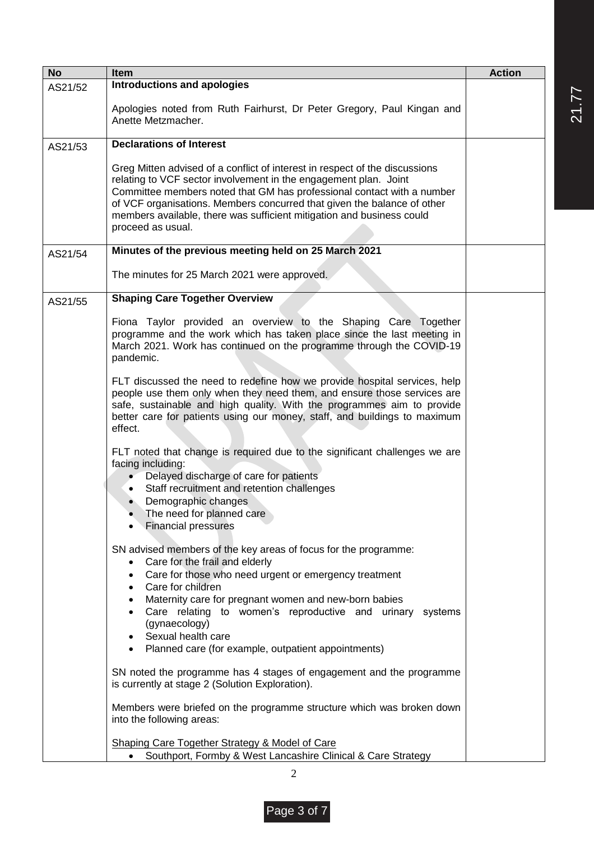| <b>No</b> | Item                                                                                                                                                                                                                                                                                                                                                                                                                            | <b>Action</b> |
|-----------|---------------------------------------------------------------------------------------------------------------------------------------------------------------------------------------------------------------------------------------------------------------------------------------------------------------------------------------------------------------------------------------------------------------------------------|---------------|
| AS21/52   | <b>Introductions and apologies</b>                                                                                                                                                                                                                                                                                                                                                                                              |               |
|           | Apologies noted from Ruth Fairhurst, Dr Peter Gregory, Paul Kingan and<br>Anette Metzmacher.                                                                                                                                                                                                                                                                                                                                    |               |
| AS21/53   | <b>Declarations of Interest</b>                                                                                                                                                                                                                                                                                                                                                                                                 |               |
|           | Greg Mitten advised of a conflict of interest in respect of the discussions<br>relating to VCF sector involvement in the engagement plan. Joint<br>Committee members noted that GM has professional contact with a number<br>of VCF organisations. Members concurred that given the balance of other<br>members available, there was sufficient mitigation and business could<br>proceed as usual.                              |               |
| AS21/54   | Minutes of the previous meeting held on 25 March 2021                                                                                                                                                                                                                                                                                                                                                                           |               |
|           | The minutes for 25 March 2021 were approved.                                                                                                                                                                                                                                                                                                                                                                                    |               |
| AS21/55   | <b>Shaping Care Together Overview</b>                                                                                                                                                                                                                                                                                                                                                                                           |               |
|           | Fiona Taylor provided an overview to the Shaping Care Together<br>programme and the work which has taken place since the last meeting in<br>March 2021. Work has continued on the programme through the COVID-19<br>pandemic.                                                                                                                                                                                                   |               |
|           | FLT discussed the need to redefine how we provide hospital services, help<br>people use them only when they need them, and ensure those services are<br>safe, sustainable and high quality. With the programmes aim to provide<br>better care for patients using our money, staff, and buildings to maximum<br>effect.                                                                                                          |               |
|           | FLT noted that change is required due to the significant challenges we are<br>facing including:<br>Delayed discharge of care for patients<br>Staff recruitment and retention challenges<br>Demographic changes<br>The need for planned care<br><b>Financial pressures</b>                                                                                                                                                       |               |
|           | SN advised members of the key areas of focus for the programme:<br>Care for the frail and elderly<br>$\bullet$<br>Care for those who need urgent or emergency treatment<br>Care for children<br>$\bullet$<br>Maternity care for pregnant women and new-born babies<br>Care relating to women's reproductive and urinary systems<br>(gynaecology)<br>Sexual health care<br>• Planned care (for example, outpatient appointments) |               |
|           | SN noted the programme has 4 stages of engagement and the programme<br>is currently at stage 2 (Solution Exploration).                                                                                                                                                                                                                                                                                                          |               |
|           | Members were briefed on the programme structure which was broken down<br>into the following areas:                                                                                                                                                                                                                                                                                                                              |               |
|           | <b>Shaping Care Together Strategy &amp; Model of Care</b><br>Southport, Formby & West Lancashire Clinical & Care Strategy<br>$\bullet$                                                                                                                                                                                                                                                                                          |               |

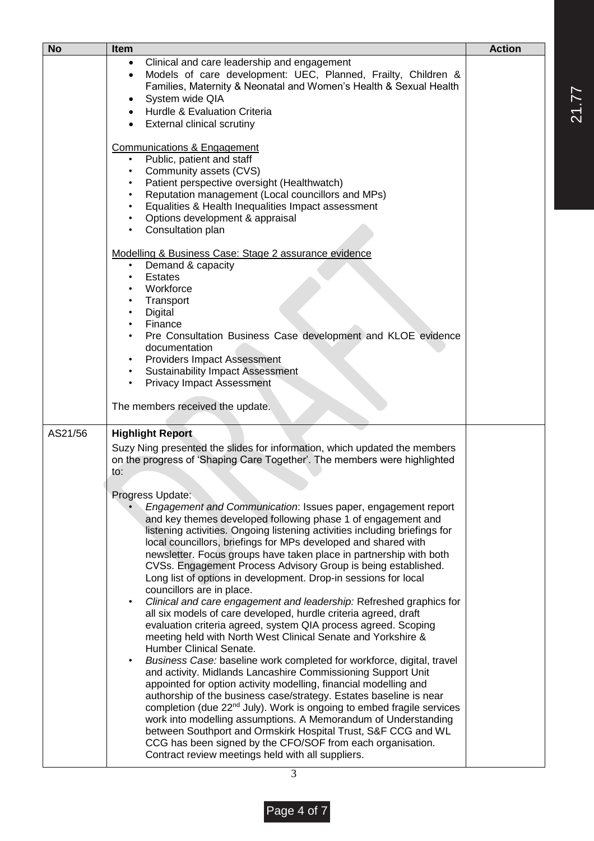| <b>No</b> | <b>Item</b>                                                                                                                                                                                                                                                                                                                                                                                                                                                                                                                                                                                                                                                                                                                                                                                                                                                                                                                                                                                                                                                                                                                                                                                                                                                                                                                                                                                                                                                                   | <b>Action</b> |
|-----------|-------------------------------------------------------------------------------------------------------------------------------------------------------------------------------------------------------------------------------------------------------------------------------------------------------------------------------------------------------------------------------------------------------------------------------------------------------------------------------------------------------------------------------------------------------------------------------------------------------------------------------------------------------------------------------------------------------------------------------------------------------------------------------------------------------------------------------------------------------------------------------------------------------------------------------------------------------------------------------------------------------------------------------------------------------------------------------------------------------------------------------------------------------------------------------------------------------------------------------------------------------------------------------------------------------------------------------------------------------------------------------------------------------------------------------------------------------------------------------|---------------|
|           | Clinical and care leadership and engagement<br>Models of care development: UEC, Planned, Frailty, Children &                                                                                                                                                                                                                                                                                                                                                                                                                                                                                                                                                                                                                                                                                                                                                                                                                                                                                                                                                                                                                                                                                                                                                                                                                                                                                                                                                                  |               |
|           | Families, Maternity & Neonatal and Women's Health & Sexual Health<br>System wide QIA                                                                                                                                                                                                                                                                                                                                                                                                                                                                                                                                                                                                                                                                                                                                                                                                                                                                                                                                                                                                                                                                                                                                                                                                                                                                                                                                                                                          |               |
|           | Hurdle & Evaluation Criteria                                                                                                                                                                                                                                                                                                                                                                                                                                                                                                                                                                                                                                                                                                                                                                                                                                                                                                                                                                                                                                                                                                                                                                                                                                                                                                                                                                                                                                                  |               |
|           | <b>External clinical scrutiny</b>                                                                                                                                                                                                                                                                                                                                                                                                                                                                                                                                                                                                                                                                                                                                                                                                                                                                                                                                                                                                                                                                                                                                                                                                                                                                                                                                                                                                                                             |               |
|           | Communications & Engagement<br>Public, patient and staff<br>Community assets (CVS)<br>$\bullet$<br>Patient perspective oversight (Healthwatch)<br>Reputation management (Local councillors and MPs)<br>Equalities & Health Inequalities Impact assessment<br>Options development & appraisal<br>Consultation plan<br>Modelling & Business Case: Stage 2 assurance evidence<br>Demand & capacity<br><b>Estates</b><br>Workforce<br>Transport<br>Digital<br>Finance<br>Pre Consultation Business Case development and KLOE evidence<br>documentation<br><b>Providers Impact Assessment</b><br><b>Sustainability Impact Assessment</b>                                                                                                                                                                                                                                                                                                                                                                                                                                                                                                                                                                                                                                                                                                                                                                                                                                           |               |
|           | <b>Privacy Impact Assessment</b><br>$\bullet$                                                                                                                                                                                                                                                                                                                                                                                                                                                                                                                                                                                                                                                                                                                                                                                                                                                                                                                                                                                                                                                                                                                                                                                                                                                                                                                                                                                                                                 |               |
|           | The members received the update.                                                                                                                                                                                                                                                                                                                                                                                                                                                                                                                                                                                                                                                                                                                                                                                                                                                                                                                                                                                                                                                                                                                                                                                                                                                                                                                                                                                                                                              |               |
| AS21/56   | <b>Highlight Report</b>                                                                                                                                                                                                                                                                                                                                                                                                                                                                                                                                                                                                                                                                                                                                                                                                                                                                                                                                                                                                                                                                                                                                                                                                                                                                                                                                                                                                                                                       |               |
|           | Suzy Ning presented the slides for information, which updated the members<br>on the progress of 'Shaping Care Together'. The members were highlighted<br>to:                                                                                                                                                                                                                                                                                                                                                                                                                                                                                                                                                                                                                                                                                                                                                                                                                                                                                                                                                                                                                                                                                                                                                                                                                                                                                                                  |               |
|           | Progress Update:<br>Engagement and Communication: Issues paper, engagement report<br>and key themes developed following phase 1 of engagement and<br>listening activities. Ongoing listening activities including briefings for<br>local councillors, briefings for MPs developed and shared with<br>newsletter. Focus groups have taken place in partnership with both<br>CVSs. Engagement Process Advisory Group is being established.<br>Long list of options in development. Drop-in sessions for local<br>councillors are in place.<br>Clinical and care engagement and leadership: Refreshed graphics for<br>all six models of care developed, hurdle criteria agreed, draft<br>evaluation criteria agreed, system QIA process agreed. Scoping<br>meeting held with North West Clinical Senate and Yorkshire &<br>Humber Clinical Senate.<br>Business Case: baseline work completed for workforce, digital, travel<br>and activity. Midlands Lancashire Commissioning Support Unit<br>appointed for option activity modelling, financial modelling and<br>authorship of the business case/strategy. Estates baseline is near<br>completion (due 22 <sup>nd</sup> July). Work is ongoing to embed fragile services<br>work into modelling assumptions. A Memorandum of Understanding<br>between Southport and Ormskirk Hospital Trust, S&F CCG and WL<br>CCG has been signed by the CFO/SOF from each organisation.<br>Contract review meetings held with all suppliers. |               |

21.77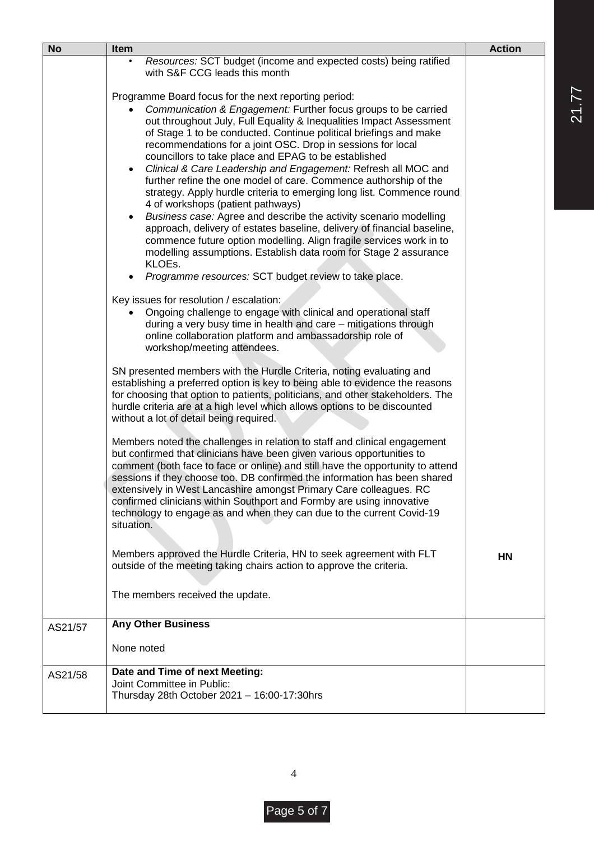| <b>No</b> | Item                                                                                                                                                                                                                                                                                                                                                                                                                                                                                                                                                                                                                                                                                                                                                                                                                                                                                                                                                             | <b>Action</b> |  |  |  |
|-----------|------------------------------------------------------------------------------------------------------------------------------------------------------------------------------------------------------------------------------------------------------------------------------------------------------------------------------------------------------------------------------------------------------------------------------------------------------------------------------------------------------------------------------------------------------------------------------------------------------------------------------------------------------------------------------------------------------------------------------------------------------------------------------------------------------------------------------------------------------------------------------------------------------------------------------------------------------------------|---------------|--|--|--|
|           | Resources: SCT budget (income and expected costs) being ratified<br>with S&F CCG leads this month                                                                                                                                                                                                                                                                                                                                                                                                                                                                                                                                                                                                                                                                                                                                                                                                                                                                |               |  |  |  |
|           | Programme Board focus for the next reporting period:                                                                                                                                                                                                                                                                                                                                                                                                                                                                                                                                                                                                                                                                                                                                                                                                                                                                                                             |               |  |  |  |
|           | Communication & Engagement: Further focus groups to be carried<br>out throughout July, Full Equality & Inequalities Impact Assessment<br>of Stage 1 to be conducted. Continue political briefings and make<br>recommendations for a joint OSC. Drop in sessions for local<br>councillors to take place and EPAG to be established<br>Clinical & Care Leadership and Engagement: Refresh all MOC and<br>$\bullet$<br>further refine the one model of care. Commence authorship of the<br>strategy. Apply hurdle criteria to emerging long list. Commence round<br>4 of workshops (patient pathways)<br>Business case: Agree and describe the activity scenario modelling<br>approach, delivery of estates baseline, delivery of financial baseline,<br>commence future option modelling. Align fragile services work in to<br>modelling assumptions. Establish data room for Stage 2 assurance<br>KLOEs.<br>Programme resources: SCT budget review to take place. |               |  |  |  |
|           |                                                                                                                                                                                                                                                                                                                                                                                                                                                                                                                                                                                                                                                                                                                                                                                                                                                                                                                                                                  |               |  |  |  |
|           | Key issues for resolution / escalation:<br>Ongoing challenge to engage with clinical and operational staff<br>during a very busy time in health and care - mitigations through<br>online collaboration platform and ambassadorship role of<br>workshop/meeting attendees.                                                                                                                                                                                                                                                                                                                                                                                                                                                                                                                                                                                                                                                                                        |               |  |  |  |
|           | SN presented members with the Hurdle Criteria, noting evaluating and<br>establishing a preferred option is key to being able to evidence the reasons<br>for choosing that option to patients, politicians, and other stakeholders. The<br>hurdle criteria are at a high level which allows options to be discounted<br>without a lot of detail being required.                                                                                                                                                                                                                                                                                                                                                                                                                                                                                                                                                                                                   |               |  |  |  |
|           | Members noted the challenges in relation to staff and clinical engagement<br>but confirmed that clinicians have been given various opportunities to<br>comment (both face to face or online) and still have the opportunity to attend<br>sessions if they choose too. DB confirmed the information has been shared<br>extensively in West Lancashire amongst Primary Care colleagues. RC<br>confirmed clinicians within Southport and Formby are using innovative<br>technology to engage as and when they can due to the current Covid-19<br>situation.                                                                                                                                                                                                                                                                                                                                                                                                         |               |  |  |  |
|           | Members approved the Hurdle Criteria, HN to seek agreement with FLT<br>outside of the meeting taking chairs action to approve the criteria.                                                                                                                                                                                                                                                                                                                                                                                                                                                                                                                                                                                                                                                                                                                                                                                                                      | <b>HN</b>     |  |  |  |
|           | The members received the update.                                                                                                                                                                                                                                                                                                                                                                                                                                                                                                                                                                                                                                                                                                                                                                                                                                                                                                                                 |               |  |  |  |
| AS21/57   | <b>Any Other Business</b>                                                                                                                                                                                                                                                                                                                                                                                                                                                                                                                                                                                                                                                                                                                                                                                                                                                                                                                                        |               |  |  |  |
|           | None noted                                                                                                                                                                                                                                                                                                                                                                                                                                                                                                                                                                                                                                                                                                                                                                                                                                                                                                                                                       |               |  |  |  |
| AS21/58   | Date and Time of next Meeting:<br>Joint Committee in Public:<br>Thursday 28th October 2021 - 16:00-17:30hrs                                                                                                                                                                                                                                                                                                                                                                                                                                                                                                                                                                                                                                                                                                                                                                                                                                                      |               |  |  |  |

21.77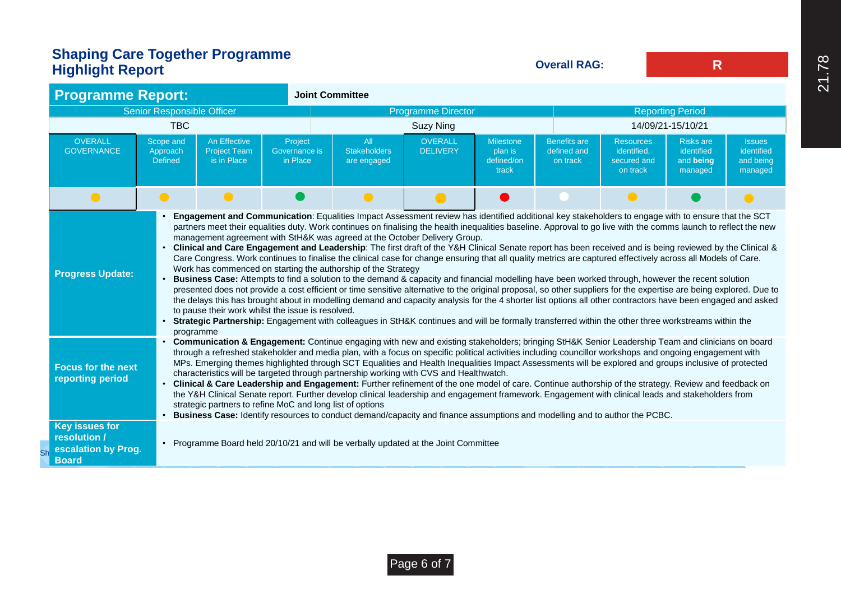# **Shaping Care Together Programme Highlight Report**

**Overall RAG:**

**R**

|                                                                                                                                                                                                                                                                                                                                                                                                                                                                                                                                                                                                                                                                                                                                                                                                                                                                                                                                                                                                                                                                                                                                                               | <b>Programme Report:</b>                            |                                                                                                                                                                                                                                                                                                                                                                                                                                                                                                                                                                                                                                                                                                                                                                                                                                                                                                                                                                                                                                                                                                                                                                                                                                                                                                                                                                                                                                                                                                          |                                                                                            |  | <b>Joint Committee</b>                                                            |                                   |                                                    |  |                                                            |                                                        |                                                     |  |
|---------------------------------------------------------------------------------------------------------------------------------------------------------------------------------------------------------------------------------------------------------------------------------------------------------------------------------------------------------------------------------------------------------------------------------------------------------------------------------------------------------------------------------------------------------------------------------------------------------------------------------------------------------------------------------------------------------------------------------------------------------------------------------------------------------------------------------------------------------------------------------------------------------------------------------------------------------------------------------------------------------------------------------------------------------------------------------------------------------------------------------------------------------------|-----------------------------------------------------|----------------------------------------------------------------------------------------------------------------------------------------------------------------------------------------------------------------------------------------------------------------------------------------------------------------------------------------------------------------------------------------------------------------------------------------------------------------------------------------------------------------------------------------------------------------------------------------------------------------------------------------------------------------------------------------------------------------------------------------------------------------------------------------------------------------------------------------------------------------------------------------------------------------------------------------------------------------------------------------------------------------------------------------------------------------------------------------------------------------------------------------------------------------------------------------------------------------------------------------------------------------------------------------------------------------------------------------------------------------------------------------------------------------------------------------------------------------------------------------------------------|--------------------------------------------------------------------------------------------|--|-----------------------------------------------------------------------------------|-----------------------------------|----------------------------------------------------|--|------------------------------------------------------------|--------------------------------------------------------|-----------------------------------------------------|--|
| <b>Senior Responsible Officer</b>                                                                                                                                                                                                                                                                                                                                                                                                                                                                                                                                                                                                                                                                                                                                                                                                                                                                                                                                                                                                                                                                                                                             |                                                     |                                                                                                                                                                                                                                                                                                                                                                                                                                                                                                                                                                                                                                                                                                                                                                                                                                                                                                                                                                                                                                                                                                                                                                                                                                                                                                                                                                                                                                                                                                          |                                                                                            |  | <b>Programme Director</b>                                                         |                                   |                                                    |  | <b>Reporting Period</b>                                    |                                                        |                                                     |  |
|                                                                                                                                                                                                                                                                                                                                                                                                                                                                                                                                                                                                                                                                                                                                                                                                                                                                                                                                                                                                                                                                                                                                                               |                                                     | <b>TBC</b>                                                                                                                                                                                                                                                                                                                                                                                                                                                                                                                                                                                                                                                                                                                                                                                                                                                                                                                                                                                                                                                                                                                                                                                                                                                                                                                                                                                                                                                                                               |                                                                                            |  |                                                                                   | <b>Suzy Ning</b>                  |                                                    |  |                                                            | 14/09/21-15/10/21                                      |                                                     |  |
| <b>OVERALL</b><br><b>GOVERNANCE</b>                                                                                                                                                                                                                                                                                                                                                                                                                                                                                                                                                                                                                                                                                                                                                                                                                                                                                                                                                                                                                                                                                                                           |                                                     | Scope and<br>Approach<br><b>Defined</b>                                                                                                                                                                                                                                                                                                                                                                                                                                                                                                                                                                                                                                                                                                                                                                                                                                                                                                                                                                                                                                                                                                                                                                                                                                                                                                                                                                                                                                                                  | An Effective<br>Project<br><b>Project Team</b><br>Governance is<br>is in Place<br>in Place |  | All<br><b>Stakeholders</b><br>are engaged                                         | <b>OVERALL</b><br><b>DELIVERY</b> | <b>Milestone</b><br>plan is<br>defined/on<br>track |  | <b>Resources</b><br>identified.<br>secured and<br>on track | <b>Risks are</b><br>identified<br>and being<br>managed | <b>Issues</b><br>identified<br>and being<br>managed |  |
|                                                                                                                                                                                                                                                                                                                                                                                                                                                                                                                                                                                                                                                                                                                                                                                                                                                                                                                                                                                                                                                                                                                                                               | $\bullet$                                           | $\bullet$                                                                                                                                                                                                                                                                                                                                                                                                                                                                                                                                                                                                                                                                                                                                                                                                                                                                                                                                                                                                                                                                                                                                                                                                                                                                                                                                                                                                                                                                                                | $\bullet$                                                                                  |  | $\bullet$                                                                         | $\bullet$                         |                                                    |  | $\bullet$                                                  |                                                        |                                                     |  |
|                                                                                                                                                                                                                                                                                                                                                                                                                                                                                                                                                                                                                                                                                                                                                                                                                                                                                                                                                                                                                                                                                                                                                               | <b>Progress Update:</b>                             | Engagement and Communication: Equalities Impact Assessment review has identified additional key stakeholders to engage with to ensure that the SCT<br>partners meet their equalities duty. Work continues on finalising the health inequalities baseline. Approval to go live with the comms launch to reflect the new<br>management agreement with StH&K was agreed at the October Delivery Group.<br>Clinical and Care Engagement and Leadership: The first draft of the Y&H Clinical Senate report has been received and is being reviewed by the Clinical &<br>Care Congress. Work continues to finalise the clinical case for change ensuring that all quality metrics are captured effectively across all Models of Care.<br>Work has commenced on starting the authorship of the Strategy<br>Business Case: Attempts to find a solution to the demand & capacity and financial modelling have been worked through, however the recent solution<br>presented does not provide a cost efficient or time sensitive alternative to the original proposal, so other suppliers for the expertise are being explored. Due to<br>the delays this has brought about in modelling demand and capacity analysis for the 4 shorter list options all other contractors have been engaged and asked<br>to pause their work whilst the issue is resolved.<br>Strategic Partnership: Engagement with colleagues in StH&K continues and will be formally transferred within the other three workstreams within the |                                                                                            |  |                                                                                   |                                   |                                                    |  |                                                            |                                                        |                                                     |  |
| programme<br>Communication & Engagement: Continue engaging with new and existing stakeholders; bringing StH&K Senior Leadership Team and clinicians on board<br>through a refreshed stakeholder and media plan, with a focus on specific political activities including councillor workshops and ongoing engagement with<br>MPs. Emerging themes highlighted through SCT Equalities and Health Inequalities Impact Assessments will be explored and groups inclusive of protected<br><b>Focus for the next</b><br>characteristics will be targeted through partnership working with CVS and Healthwatch.<br>reporting period<br>Clinical & Care Leadership and Engagement: Further refinement of the one model of care. Continue authorship of the strategy. Review and feedback on<br>the Y&H Clinical Senate report. Further develop clinical leadership and engagement framework. Engagement with clinical leads and stakeholders from<br>strategic partners to refine MoC and long list of options<br>Business Case: Identify resources to conduct demand/capacity and finance assumptions and modelling and to author the PCBC.<br><b>Key issues for</b> |                                                     |                                                                                                                                                                                                                                                                                                                                                                                                                                                                                                                                                                                                                                                                                                                                                                                                                                                                                                                                                                                                                                                                                                                                                                                                                                                                                                                                                                                                                                                                                                          |                                                                                            |  |                                                                                   |                                   |                                                    |  |                                                            |                                                        |                                                     |  |
|                                                                                                                                                                                                                                                                                                                                                                                                                                                                                                                                                                                                                                                                                                                                                                                                                                                                                                                                                                                                                                                                                                                                                               | resolution /<br>escalation by Prog.<br><b>Board</b> | $\bullet$                                                                                                                                                                                                                                                                                                                                                                                                                                                                                                                                                                                                                                                                                                                                                                                                                                                                                                                                                                                                                                                                                                                                                                                                                                                                                                                                                                                                                                                                                                |                                                                                            |  | Programme Board held 20/10/21 and will be verbally updated at the Joint Committee |                                   |                                                    |  |                                                            |                                                        |                                                     |  |